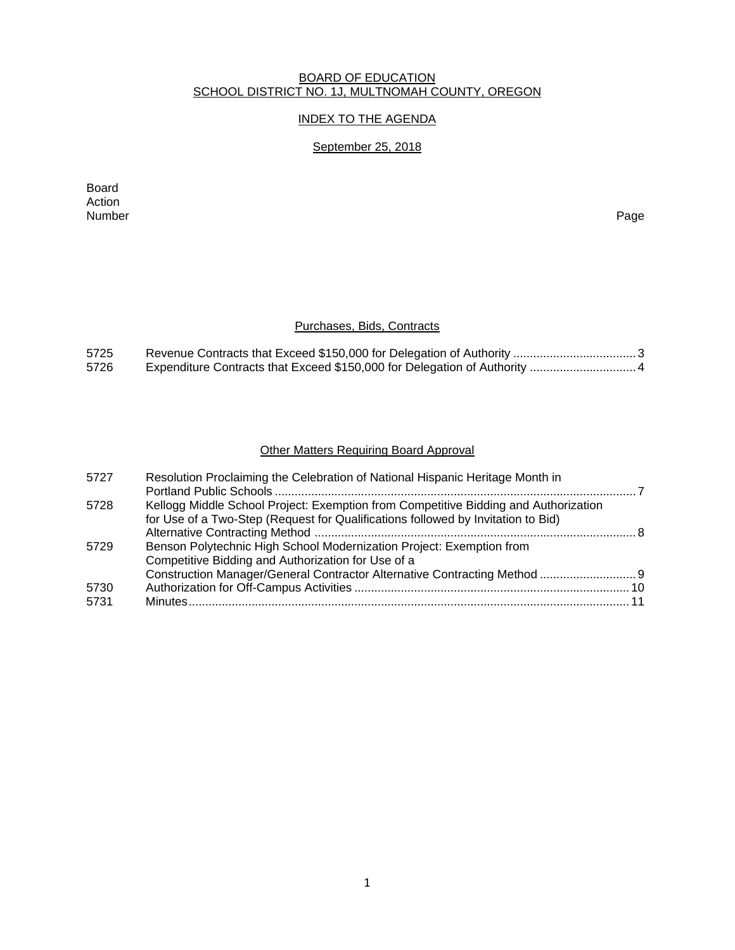### BOARD OF EDUCATION SCHOOL DISTRICT NO. 1J, MULTNOMAH COUNTY, OREGON

## INDEX TO THE AGENDA

# September 25, 2018

Board Action<br>Number Number Page

# Purchases, Bids, Contracts

| 5725 |  |
|------|--|
| 5726 |  |

# Other Matters Requiring Board Approval

| Construction Manager/General Contractor Alternative Contracting Method  9 |
|---------------------------------------------------------------------------|
|                                                                           |
|                                                                           |
|                                                                           |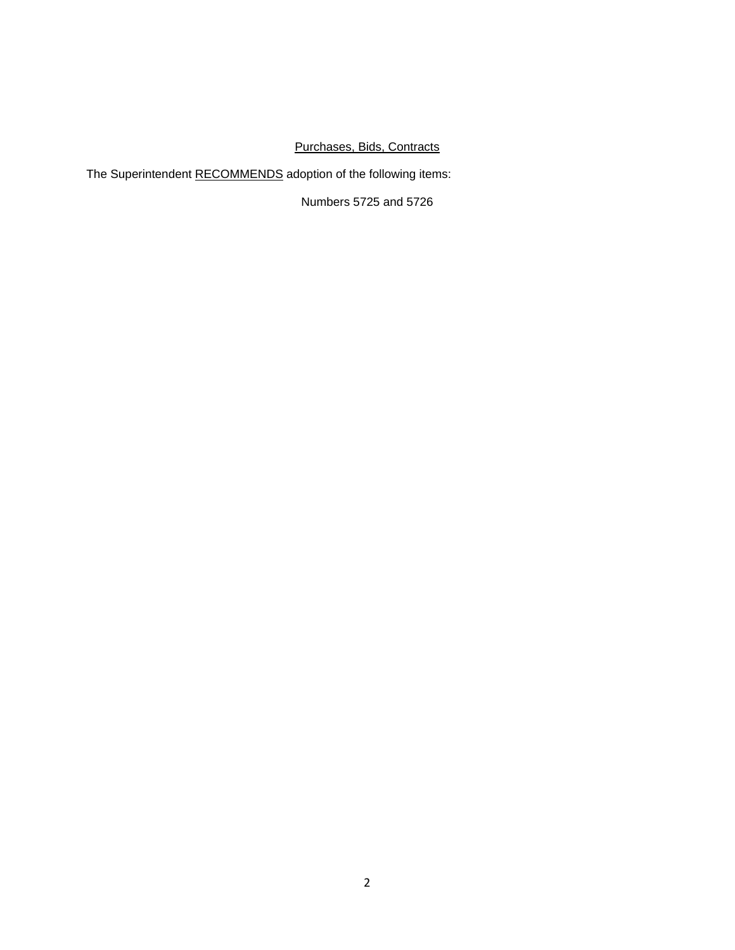# Purchases, Bids, Contracts

The Superintendent RECOMMENDS adoption of the following items:

Numbers 5725 and 5726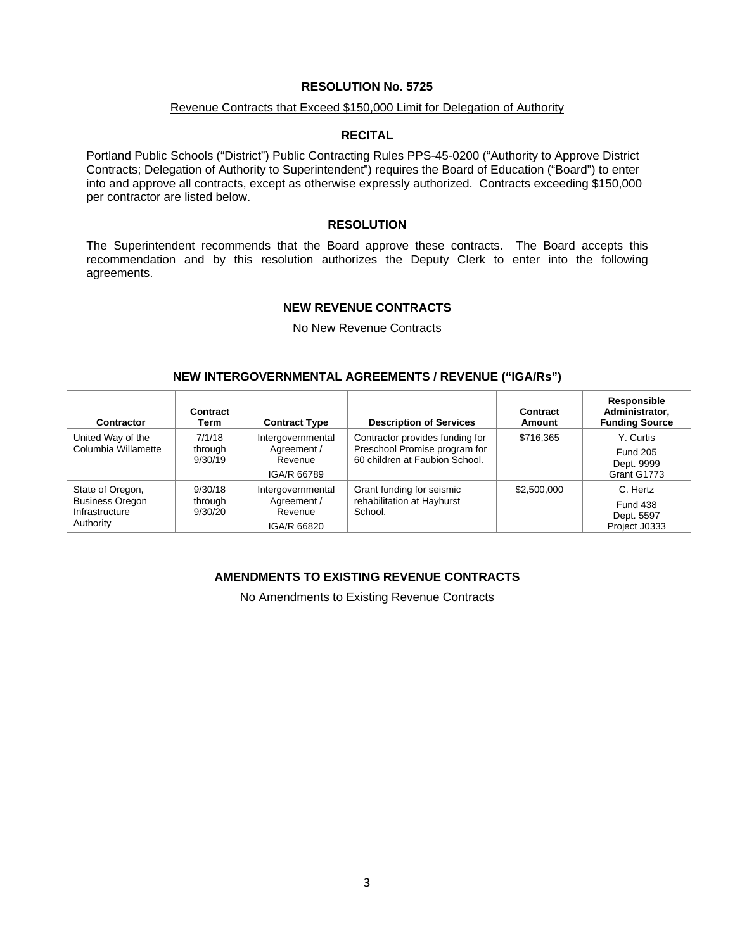### Revenue Contracts that Exceed \$150,000 Limit for Delegation of Authority

### **RECITAL**

Portland Public Schools ("District") Public Contracting Rules PPS-45-0200 ("Authority to Approve District Contracts; Delegation of Authority to Superintendent") requires the Board of Education ("Board") to enter into and approve all contracts, except as otherwise expressly authorized. Contracts exceeding \$150,000 per contractor are listed below.

### **RESOLUTION**

The Superintendent recommends that the Board approve these contracts. The Board accepts this recommendation and by this resolution authorizes the Deputy Clerk to enter into the following agreements.

#### **NEW REVENUE CONTRACTS**

No New Revenue Contracts

### **NEW INTERGOVERNMENTAL AGREEMENTS / REVENUE ("IGA/Rs")**

| <b>Contractor</b>                                                         | Contract<br>Term              | <b>Contract Type</b>                                       | <b>Description of Services</b>                                                                     | Contract<br>Amount | Responsible<br>Administrator,<br><b>Funding Source</b>     |
|---------------------------------------------------------------------------|-------------------------------|------------------------------------------------------------|----------------------------------------------------------------------------------------------------|--------------------|------------------------------------------------------------|
| United Way of the<br>Columbia Willamette                                  | 7/1/18<br>through<br>9/30/19  | Intergovernmental<br>Agreement /<br>Revenue<br>IGA/R 66789 | Contractor provides funding for<br>Preschool Promise program for<br>60 children at Faubion School. | \$716.365          | Y. Curtis<br><b>Fund 205</b><br>Dept. 9999<br>Grant G1773  |
| State of Oregon,<br><b>Business Oregon</b><br>Infrastructure<br>Authority | 9/30/18<br>through<br>9/30/20 | Intergovernmental<br>Agreement /<br>Revenue<br>IGA/R 66820 | Grant funding for seismic<br>rehabilitation at Hayhurst<br>School.                                 | \$2,500,000        | C. Hertz<br><b>Fund 438</b><br>Dept. 5597<br>Project J0333 |

### **AMENDMENTS TO EXISTING REVENUE CONTRACTS**

No Amendments to Existing Revenue Contracts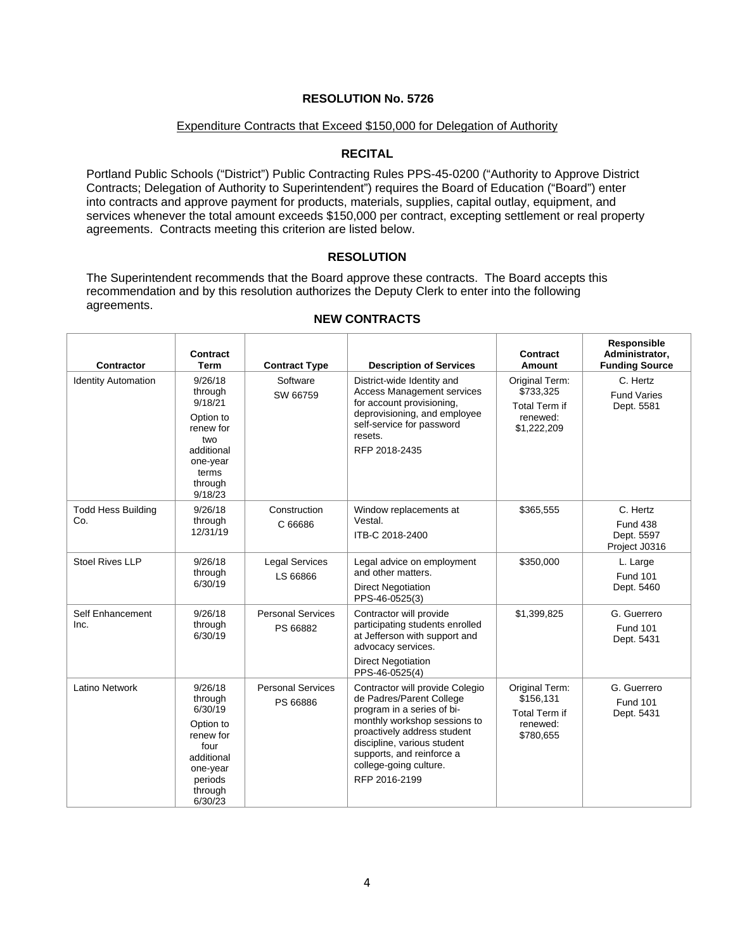### Expenditure Contracts that Exceed \$150,000 for Delegation of Authority

### **RECITAL**

Portland Public Schools ("District") Public Contracting Rules PPS-45-0200 ("Authority to Approve District Contracts; Delegation of Authority to Superintendent") requires the Board of Education ("Board") enter into contracts and approve payment for products, materials, supplies, capital outlay, equipment, and services whenever the total amount exceeds \$150,000 per contract, excepting settlement or real property agreements. Contracts meeting this criterion are listed below.

### **RESOLUTION**

The Superintendent recommends that the Board approve these contracts. The Board accepts this recommendation and by this resolution authorizes the Deputy Clerk to enter into the following agreements.

| <b>Contractor</b>                | Contract<br>Term                                                                                                           | <b>Contract Type</b>                 | <b>Description of Services</b>                                                                                                                                                                                                                                  | Contract<br>Amount                                                             | Responsible<br>Administrator,<br><b>Funding Source</b>     |
|----------------------------------|----------------------------------------------------------------------------------------------------------------------------|--------------------------------------|-----------------------------------------------------------------------------------------------------------------------------------------------------------------------------------------------------------------------------------------------------------------|--------------------------------------------------------------------------------|------------------------------------------------------------|
| <b>Identity Automation</b>       | 9/26/18<br>through<br>9/18/21<br>Option to<br>renew for<br>two<br>additional<br>one-year<br>terms<br>through<br>9/18/23    | Software<br>SW 66759                 | District-wide Identity and<br><b>Access Management services</b><br>for account provisioning,<br>deprovisioning, and employee<br>self-service for password<br>resets.<br>RFP 2018-2435                                                                           | Original Term:<br>\$733,325<br><b>Total Term if</b><br>renewed:<br>\$1,222,209 | C. Hertz<br><b>Fund Varies</b><br>Dept. 5581               |
| <b>Todd Hess Building</b><br>Co. | 9/26/18<br>through<br>12/31/19                                                                                             | Construction<br>C 66686              | Window replacements at<br>Vestal.<br>ITB-C 2018-2400                                                                                                                                                                                                            | \$365,555                                                                      | C. Hertz<br><b>Fund 438</b><br>Dept. 5597<br>Project J0316 |
| <b>Stoel Rives LLP</b>           | 9/26/18<br>through<br>6/30/19                                                                                              | <b>Legal Services</b><br>LS 66866    | Legal advice on employment<br>and other matters.<br><b>Direct Negotiation</b><br>PPS-46-0525(3)                                                                                                                                                                 | \$350,000                                                                      | L. Large<br><b>Fund 101</b><br>Dept. 5460                  |
| Self Enhancement<br>Inc.         | 9/26/18<br>through<br>6/30/19                                                                                              | <b>Personal Services</b><br>PS 66882 | Contractor will provide<br>participating students enrolled<br>at Jefferson with support and<br>advocacy services.<br><b>Direct Negotiation</b><br>PPS-46-0525(4)                                                                                                | \$1,399,825                                                                    | G. Guerrero<br><b>Fund 101</b><br>Dept. 5431               |
| Latino Network                   | 9/26/18<br>through<br>6/30/19<br>Option to<br>renew for<br>four<br>additional<br>one-year<br>periods<br>through<br>6/30/23 | <b>Personal Services</b><br>PS 66886 | Contractor will provide Colegio<br>de Padres/Parent College<br>program in a series of bi-<br>monthly workshop sessions to<br>proactively address student<br>discipline, various student<br>supports, and reinforce a<br>college-going culture.<br>RFP 2016-2199 | Original Term:<br>\$156,131<br><b>Total Term if</b><br>renewed:<br>\$780,655   | G. Guerrero<br><b>Fund 101</b><br>Dept. 5431               |

### **NEW CONTRACTS**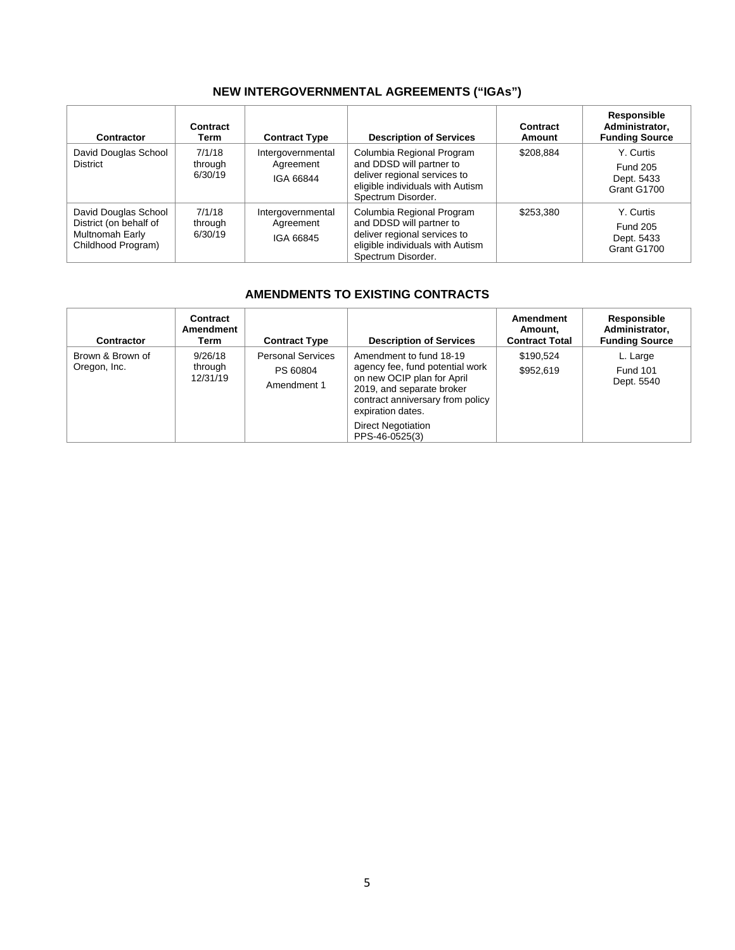# **NEW INTERGOVERNMENTAL AGREEMENTS ("IGAs")**

| Contractor                                                                              | Contract<br>Term             | <b>Contract Type</b>                        | <b>Description of Services</b>                                                                                                                  | Contract<br>Amount | <b>Responsible</b><br>Administrator,<br><b>Funding Source</b> |
|-----------------------------------------------------------------------------------------|------------------------------|---------------------------------------------|-------------------------------------------------------------------------------------------------------------------------------------------------|--------------------|---------------------------------------------------------------|
| David Douglas School<br><b>District</b>                                                 | 7/1/18<br>through<br>6/30/19 | Intergovernmental<br>Agreement<br>IGA 66844 | Columbia Regional Program<br>and DDSD will partner to<br>deliver regional services to<br>eligible individuals with Autism<br>Spectrum Disorder. | \$208,884          | Y. Curtis<br><b>Fund 205</b><br>Dept. 5433<br>Grant G1700     |
| David Douglas School<br>District (on behalf of<br>Multnomah Early<br>Childhood Program) | 7/1/18<br>through<br>6/30/19 | Intergovernmental<br>Agreement<br>IGA 66845 | Columbia Regional Program<br>and DDSD will partner to<br>deliver regional services to<br>eligible individuals with Autism<br>Spectrum Disorder. | \$253,380          | Y. Curtis<br><b>Fund 205</b><br>Dept. 5433<br>Grant G1700     |

# **AMENDMENTS TO EXISTING CONTRACTS**

| <b>Contractor</b>                | Contract<br>Amendment<br>Term  | <b>Contract Type</b>                                | <b>Description of Services</b>                                                                                                                                                 | Amendment<br>Amount,<br><b>Contract Total</b> | <b>Responsible</b><br>Administrator,<br><b>Funding Source</b> |
|----------------------------------|--------------------------------|-----------------------------------------------------|--------------------------------------------------------------------------------------------------------------------------------------------------------------------------------|-----------------------------------------------|---------------------------------------------------------------|
| Brown & Brown of<br>Oregon, Inc. | 9/26/18<br>through<br>12/31/19 | <b>Personal Services</b><br>PS 60804<br>Amendment 1 | Amendment to fund 18-19<br>agency fee, fund potential work<br>on new OCIP plan for April<br>2019, and separate broker<br>contract anniversary from policy<br>expiration dates. | \$190.524<br>\$952,619                        | L. Large<br><b>Fund 101</b><br>Dept. 5540                     |
|                                  |                                |                                                     | <b>Direct Negotiation</b><br>PPS-46-0525(3)                                                                                                                                    |                                               |                                                               |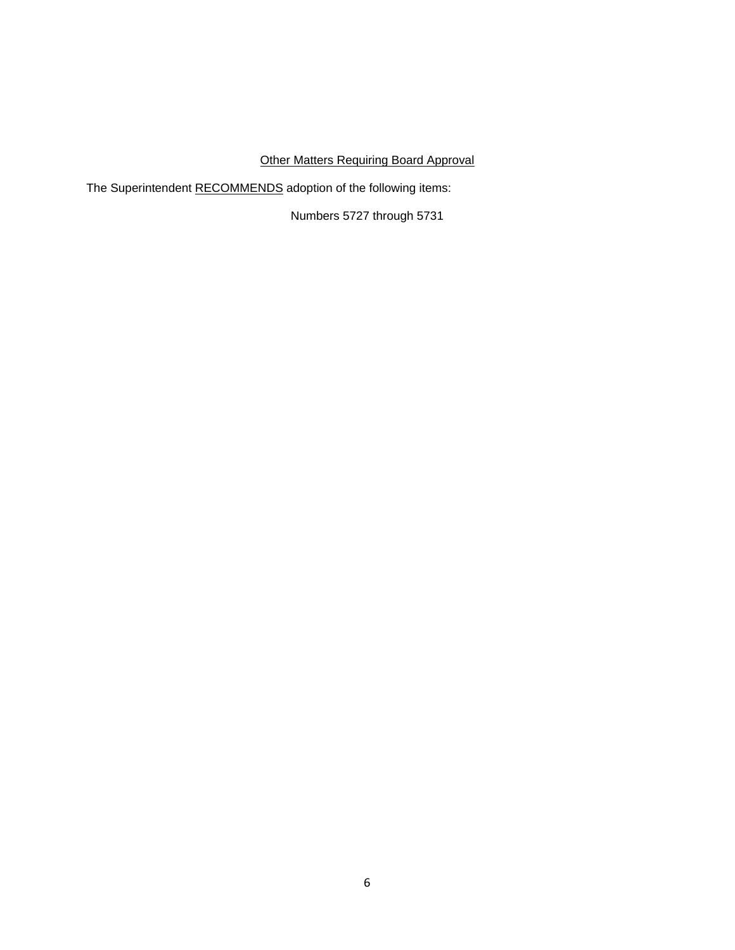# Other Matters Requiring Board Approval

The Superintendent RECOMMENDS adoption of the following items:

Numbers 5727 through 5731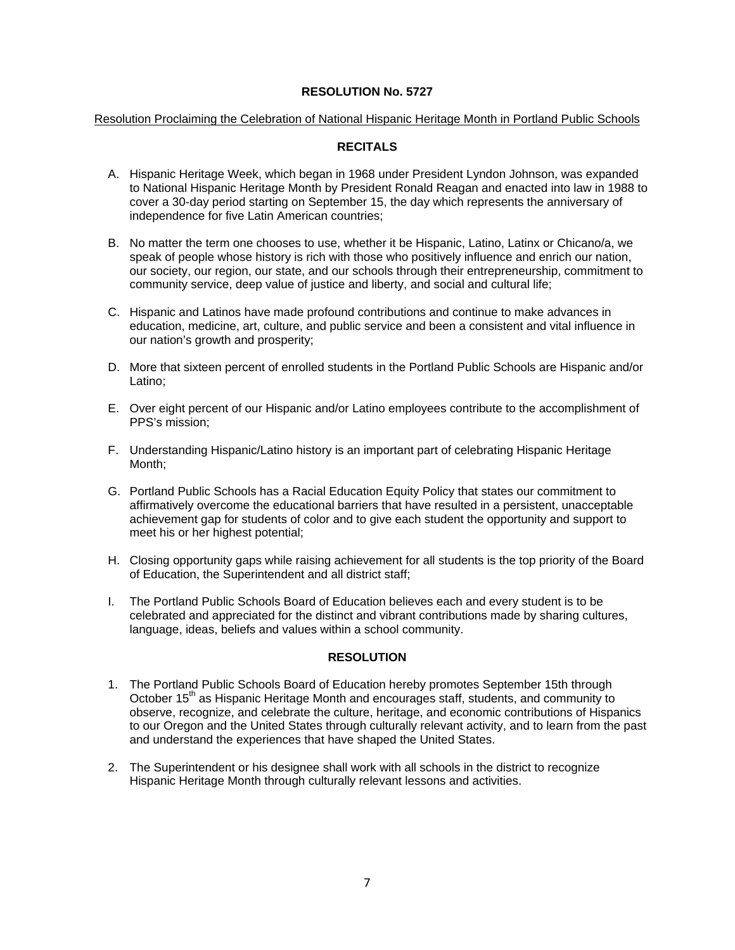### Resolution Proclaiming the Celebration of National Hispanic Heritage Month in Portland Public Schools

### **RECITALS**

- A. Hispanic Heritage Week, which began in 1968 under President Lyndon Johnson, was expanded to National Hispanic Heritage Month by President Ronald Reagan and enacted into law in 1988 to cover a 30-day period starting on September 15, the day which represents the anniversary of independence for five Latin American countries;
- B. No matter the term one chooses to use, whether it be Hispanic, Latino, Latinx or Chicano/a, we speak of people whose history is rich with those who positively influence and enrich our nation, our society, our region, our state, and our schools through their entrepreneurship, commitment to community service, deep value of justice and liberty, and social and cultural life;
- C. Hispanic and Latinos have made profound contributions and continue to make advances in education, medicine, art, culture, and public service and been a consistent and vital influence in our nation's growth and prosperity;
- D. More that sixteen percent of enrolled students in the Portland Public Schools are Hispanic and/or Latino;
- E. Over eight percent of our Hispanic and/or Latino employees contribute to the accomplishment of PPS's mission;
- F. Understanding Hispanic/Latino history is an important part of celebrating Hispanic Heritage Month;
- G. Portland Public Schools has a Racial Education Equity Policy that states our commitment to affirmatively overcome the educational barriers that have resulted in a persistent, unacceptable achievement gap for students of color and to give each student the opportunity and support to meet his or her highest potential;
- H. Closing opportunity gaps while raising achievement for all students is the top priority of the Board of Education, the Superintendent and all district staff;
- I. The Portland Public Schools Board of Education believes each and every student is to be celebrated and appreciated for the distinct and vibrant contributions made by sharing cultures, language, ideas, beliefs and values within a school community.

### **RESOLUTION**

- 1. The Portland Public Schools Board of Education hereby promotes September 15th through October 15<sup>th</sup> as Hispanic Heritage Month and encourages staff, students, and community to observe, recognize, and celebrate the culture, heritage, and economic contributions of Hispanics to our Oregon and the United States through culturally relevant activity, and to learn from the past and understand the experiences that have shaped the United States.
- 2. The Superintendent or his designee shall work with all schools in the district to recognize Hispanic Heritage Month through culturally relevant lessons and activities.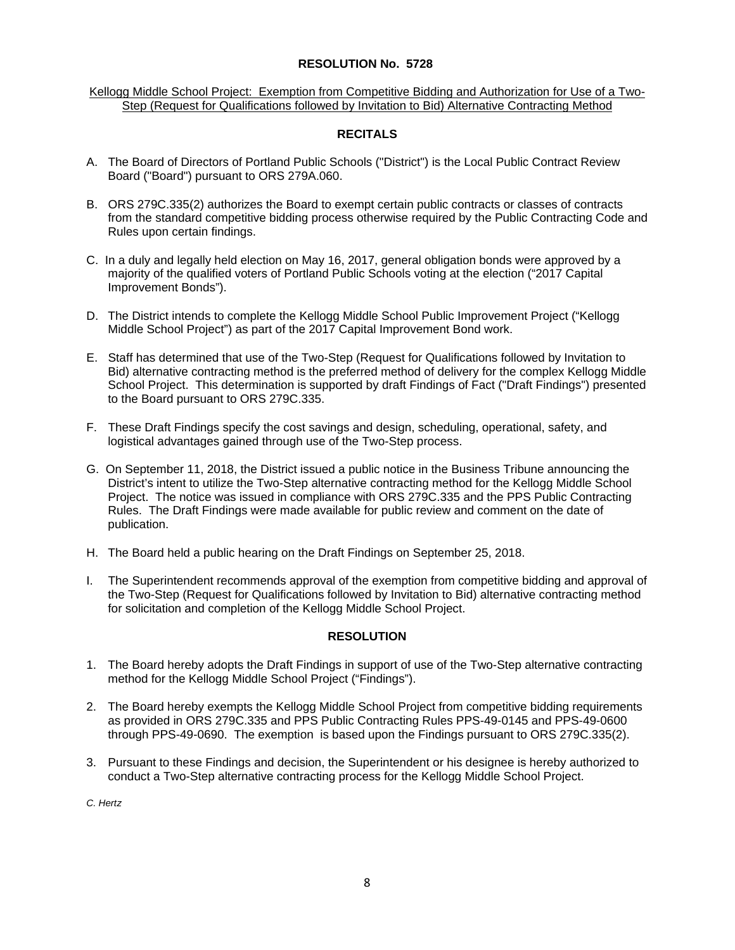Kellogg Middle School Project: Exemption from Competitive Bidding and Authorization for Use of a Two-Step (Request for Qualifications followed by Invitation to Bid) Alternative Contracting Method

## **RECITALS**

- A. The Board of Directors of Portland Public Schools ("District") is the Local Public Contract Review Board ("Board") pursuant to ORS 279A.060.
- B. ORS 279C.335(2) authorizes the Board to exempt certain public contracts or classes of contracts from the standard competitive bidding process otherwise required by the Public Contracting Code and Rules upon certain findings.
- C. In a duly and legally held election on May 16, 2017, general obligation bonds were approved by a majority of the qualified voters of Portland Public Schools voting at the election ("2017 Capital Improvement Bonds").
- D. The District intends to complete the Kellogg Middle School Public Improvement Project ("Kellogg Middle School Project") as part of the 2017 Capital Improvement Bond work.
- E. Staff has determined that use of the Two-Step (Request for Qualifications followed by Invitation to Bid) alternative contracting method is the preferred method of delivery for the complex Kellogg Middle School Project. This determination is supported by draft Findings of Fact ("Draft Findings") presented to the Board pursuant to ORS 279C.335.
- F. These Draft Findings specify the cost savings and design, scheduling, operational, safety, and logistical advantages gained through use of the Two-Step process.
- G. On September 11, 2018, the District issued a public notice in the Business Tribune announcing the District's intent to utilize the Two-Step alternative contracting method for the Kellogg Middle School Project. The notice was issued in compliance with ORS 279C.335 and the PPS Public Contracting Rules. The Draft Findings were made available for public review and comment on the date of publication.
- H. The Board held a public hearing on the Draft Findings on September 25, 2018.
- I. The Superintendent recommends approval of the exemption from competitive bidding and approval of the Two-Step (Request for Qualifications followed by Invitation to Bid) alternative contracting method for solicitation and completion of the Kellogg Middle School Project.

## **RESOLUTION**

- 1. The Board hereby adopts the Draft Findings in support of use of the Two-Step alternative contracting method for the Kellogg Middle School Project ("Findings").
- 2. The Board hereby exempts the Kellogg Middle School Project from competitive bidding requirements as provided in ORS 279C.335 and PPS Public Contracting Rules PPS-49-0145 and PPS-49-0600 through PPS-49-0690. The exemption is based upon the Findings pursuant to ORS 279C.335(2).
- 3. Pursuant to these Findings and decision, the Superintendent or his designee is hereby authorized to conduct a Two-Step alternative contracting process for the Kellogg Middle School Project.

*C. Hertz*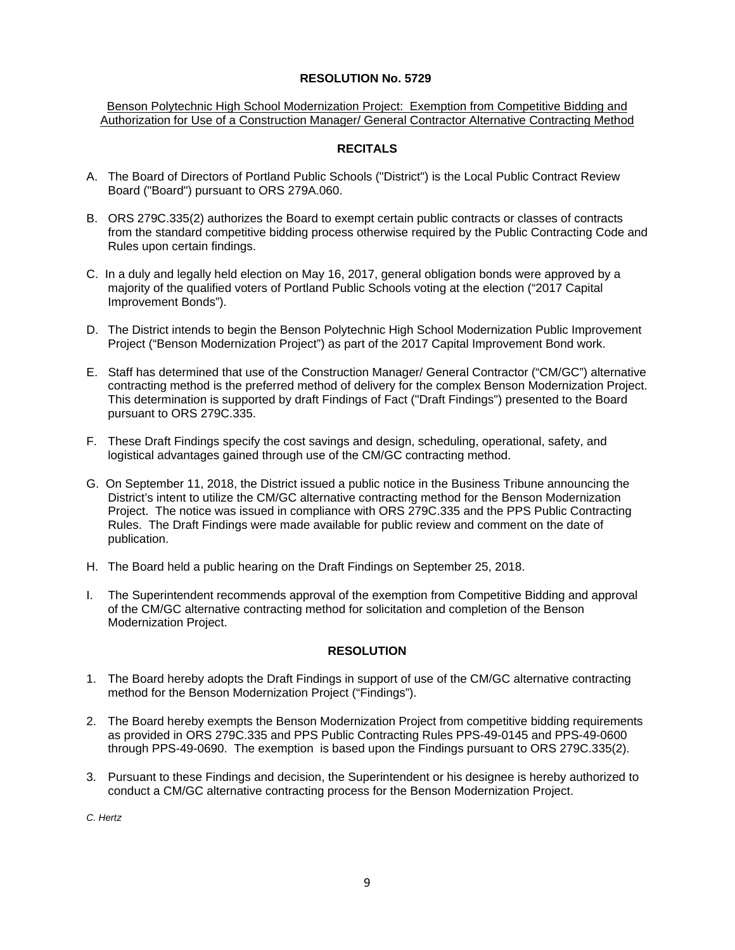Benson Polytechnic High School Modernization Project: Exemption from Competitive Bidding and Authorization for Use of a Construction Manager/ General Contractor Alternative Contracting Method

## **RECITALS**

- A. The Board of Directors of Portland Public Schools ("District") is the Local Public Contract Review Board ("Board") pursuant to ORS 279A.060.
- B. ORS 279C.335(2) authorizes the Board to exempt certain public contracts or classes of contracts from the standard competitive bidding process otherwise required by the Public Contracting Code and Rules upon certain findings.
- C. In a duly and legally held election on May 16, 2017, general obligation bonds were approved by a majority of the qualified voters of Portland Public Schools voting at the election ("2017 Capital Improvement Bonds").
- D. The District intends to begin the Benson Polytechnic High School Modernization Public Improvement Project ("Benson Modernization Project") as part of the 2017 Capital Improvement Bond work.
- E. Staff has determined that use of the Construction Manager/ General Contractor ("CM/GC") alternative contracting method is the preferred method of delivery for the complex Benson Modernization Project. This determination is supported by draft Findings of Fact ("Draft Findings") presented to the Board pursuant to ORS 279C.335.
- F. These Draft Findings specify the cost savings and design, scheduling, operational, safety, and logistical advantages gained through use of the CM/GC contracting method.
- G. On September 11, 2018, the District issued a public notice in the Business Tribune announcing the District's intent to utilize the CM/GC alternative contracting method for the Benson Modernization Project. The notice was issued in compliance with ORS 279C.335 and the PPS Public Contracting Rules. The Draft Findings were made available for public review and comment on the date of publication.
- H. The Board held a public hearing on the Draft Findings on September 25, 2018.
- I. The Superintendent recommends approval of the exemption from Competitive Bidding and approval of the CM/GC alternative contracting method for solicitation and completion of the Benson Modernization Project.

## **RESOLUTION**

- 1. The Board hereby adopts the Draft Findings in support of use of the CM/GC alternative contracting method for the Benson Modernization Project ("Findings").
- 2. The Board hereby exempts the Benson Modernization Project from competitive bidding requirements as provided in ORS 279C.335 and PPS Public Contracting Rules PPS-49-0145 and PPS-49-0600 through PPS-49-0690. The exemption is based upon the Findings pursuant to ORS 279C.335(2).
- 3. Pursuant to these Findings and decision, the Superintendent or his designee is hereby authorized to conduct a CM/GC alternative contracting process for the Benson Modernization Project.

*C. Hertz*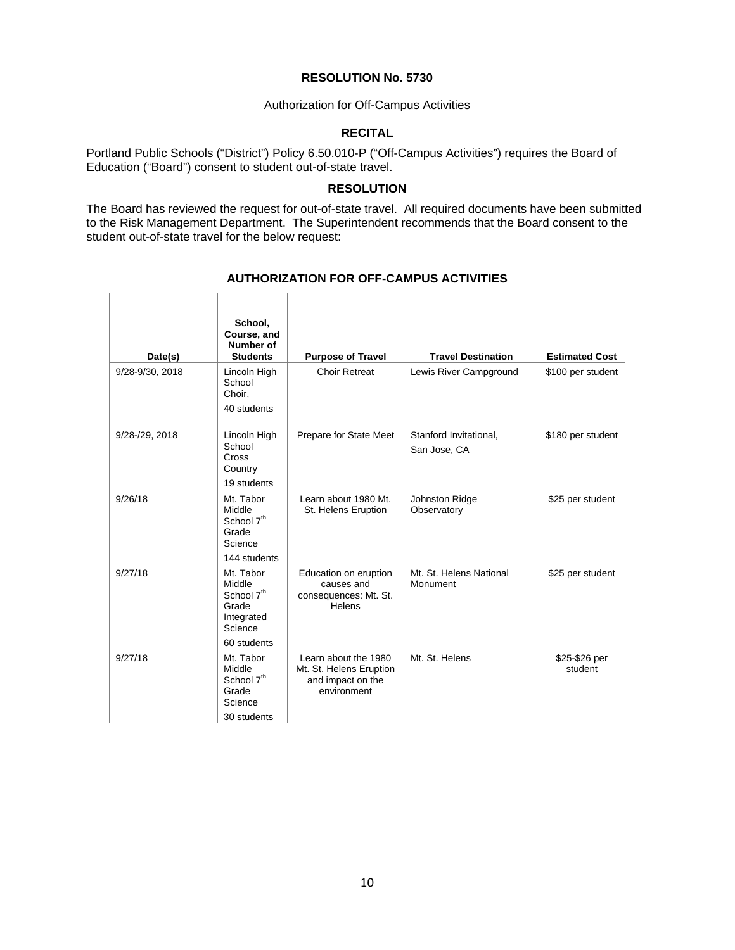### Authorization for Off-Campus Activities

# **RECITAL**

Portland Public Schools ("District") Policy 6.50.010-P ("Off-Campus Activities") requires the Board of Education ("Board") consent to student out-of-state travel.

### **RESOLUTION**

The Board has reviewed the request for out-of-state travel. All required documents have been submitted to the Risk Management Department. The Superintendent recommends that the Board consent to the student out-of-state travel for the below request:

| Date(s)         | School,<br>Course, and<br>Number of<br><b>Students</b>                                         | <b>Purpose of Travel</b>                                                            | <b>Travel Destination</b>              | <b>Estimated Cost</b>    |
|-----------------|------------------------------------------------------------------------------------------------|-------------------------------------------------------------------------------------|----------------------------------------|--------------------------|
| 9/28-9/30, 2018 | Lincoln High<br>School<br>Choir.<br>40 students                                                | <b>Choir Retreat</b>                                                                | Lewis River Campground                 | \$100 per student        |
| 9/28-/29, 2018  | Lincoln High<br>School<br>Cross<br>Country<br>19 students                                      | Prepare for State Meet                                                              | Stanford Invitational,<br>San Jose, CA | \$180 per student        |
| 9/26/18         | Mt. Tabor<br>Middle<br>School 7 <sup>th</sup><br>Grade<br>Science<br>144 students              | Learn about 1980 Mt.<br>St. Helens Eruption                                         | Johnston Ridge<br>Observatory          | \$25 per student         |
| 9/27/18         | Mt. Tabor<br>Middle<br>School 7 <sup>th</sup><br>Grade<br>Integrated<br>Science<br>60 students | Education on eruption<br>causes and<br>consequences: Mt. St.<br>Helens              | Mt. St. Helens National<br>Monument    | \$25 per student         |
| 9/27/18         | Mt. Tabor<br>Middle<br>School 7 <sup>th</sup><br>Grade<br>Science<br>30 students               | Learn about the 1980<br>Mt. St. Helens Eruption<br>and impact on the<br>environment | Mt. St. Helens                         | \$25-\$26 per<br>student |

# **AUTHORIZATION FOR OFF-CAMPUS ACTIVITIES**